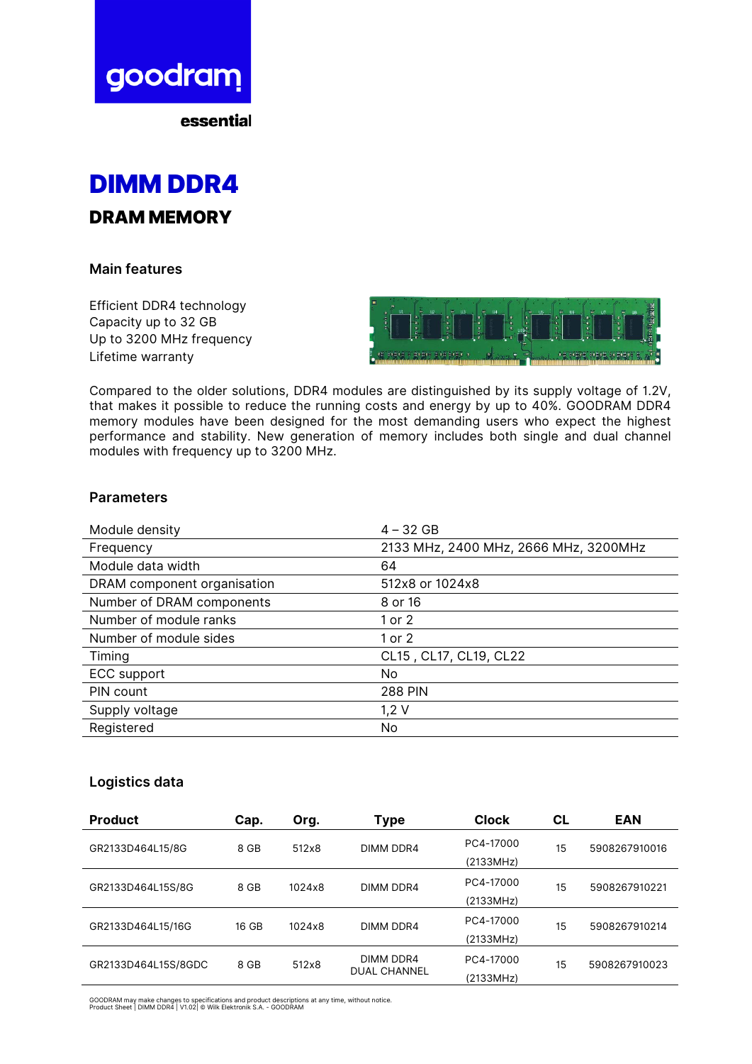

essential



### **Main features**

Efficient DDR4 technology Capacity up to 32 GB Up to 3200 MHz frequency Lifetime warranty



Compared to the older solutions, DDR4 modules are distinguished by its supply voltage of 1.2V, that makes it possible to reduce the running costs and energy by up to 40%. GOODRAM DDR4 memory modules have been designed for the most demanding users who expect the highest performance and stability. New generation of memory includes both single and dual channel modules with frequency up to 3200 MHz.

### **Parameters**

| Module density              | $4 - 32$ GB                           |
|-----------------------------|---------------------------------------|
| Frequency                   | 2133 MHz, 2400 MHz, 2666 MHz, 3200MHz |
| Module data width           | 64                                    |
| DRAM component organisation | 512x8 or 1024x8                       |
| Number of DRAM components   | 8 or 16                               |
| Number of module ranks      | 1 or 2                                |
| Number of module sides      | 1 or 2                                |
| Timing                      | CL15, CL17, CL19, CL22                |
| <b>ECC</b> support          | No.                                   |
| PIN count                   | <b>288 PIN</b>                        |
| Supply voltage              | $1,2$ V                               |
| Registered                  | No.                                   |

## **Logistics data**

| <b>Product</b>                       | Cap.                        | Org.      | Type                | <b>Clock</b>  | СL            | <b>EAN</b>    |
|--------------------------------------|-----------------------------|-----------|---------------------|---------------|---------------|---------------|
| GR2133D464L15/8G                     | 8 GB                        | 512x8     | DIMM DDR4           | PC4-17000     | 15            | 5908267910016 |
|                                      |                             |           |                     | (2133MHz)     |               |               |
| GR2133D464L15S/8G                    | 8 GB<br>1024x8<br>DIMM DDR4 | PC4-17000 | 15                  | 5908267910221 |               |               |
|                                      |                             |           |                     | (2133MHz)     |               |               |
| GR2133D464L15/16G                    | 16 GB                       | 1024x8    | DIMM DDR4           | PC4-17000     | 15            | 5908267910214 |
|                                      |                             |           |                     | (2133MHz)     |               |               |
| GR2133D464L15S/8GDC<br>8 GB<br>512x8 |                             | DIMM DDR4 | PC4-17000           | 15            | 5908267910023 |               |
|                                      |                             |           | <b>DUAL CHANNEL</b> | (2133MHz)     |               |               |

GOODRAM may make changes to specifications and product descriptions at any time, without notice. Product Sheet | DIMM DDR4 | V1.02| © Wilk Elektronik S.A. - GOODRAM